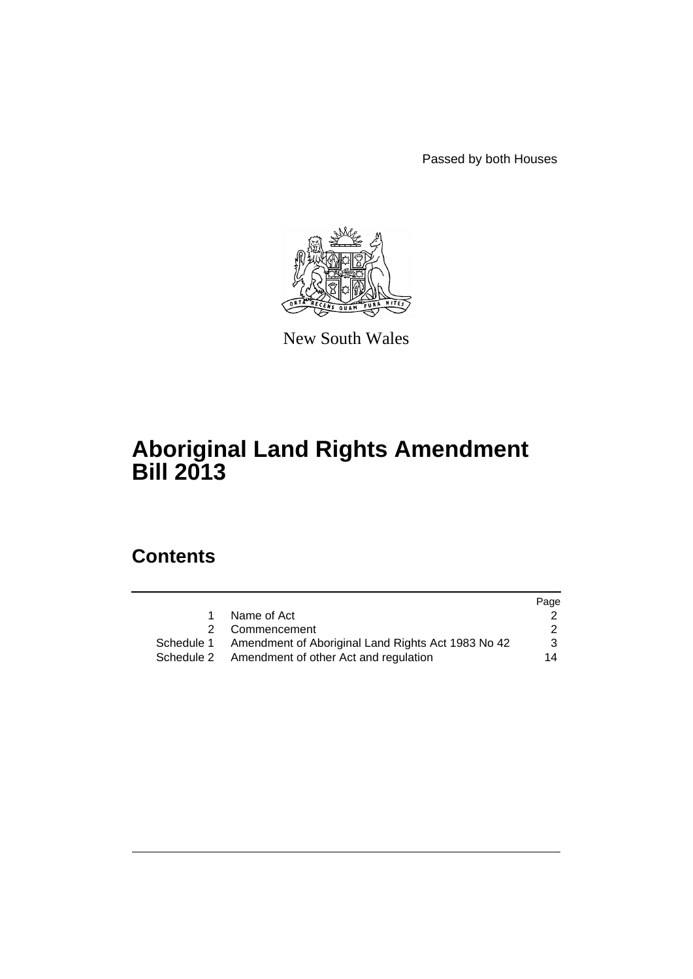Passed by both Houses



New South Wales

# **Aboriginal Land Rights Amendment Bill 2013**

# **Contents**

|                                                               | Page          |
|---------------------------------------------------------------|---------------|
| Name of Act                                                   |               |
| 2 Commencement                                                | $\mathcal{P}$ |
| Schedule 1 Amendment of Aboriginal Land Rights Act 1983 No 42 | 3             |
| Schedule 2 Amendment of other Act and regulation              | 14            |
|                                                               |               |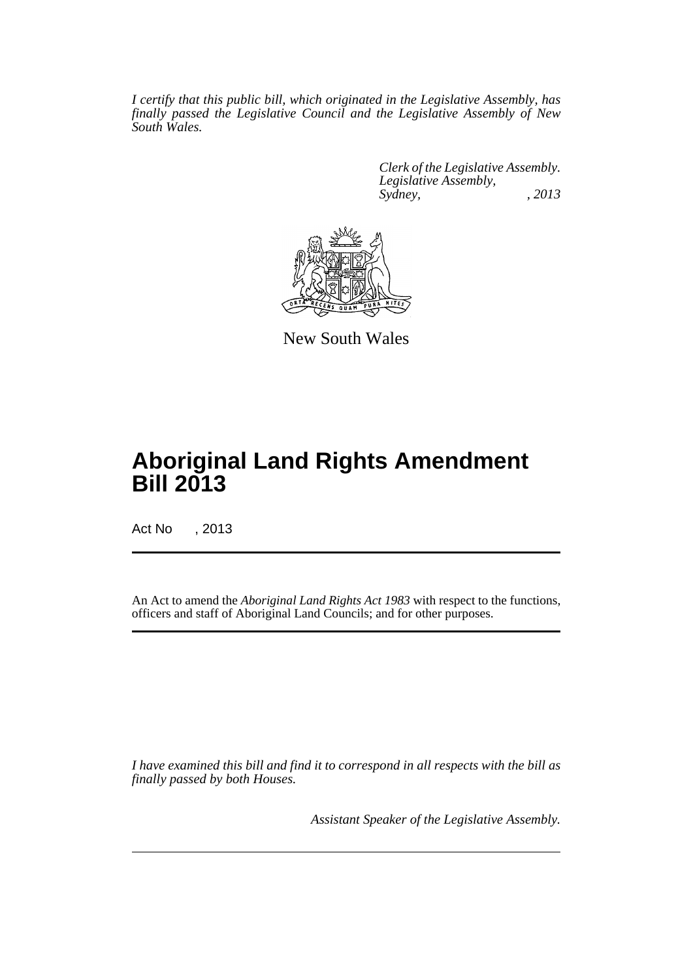*I certify that this public bill, which originated in the Legislative Assembly, has finally passed the Legislative Council and the Legislative Assembly of New South Wales.*

> *Clerk of the Legislative Assembly. Legislative Assembly, Sydney, , 2013*



New South Wales

# **Aboriginal Land Rights Amendment Bill 2013**

Act No , 2013

An Act to amend the *Aboriginal Land Rights Act 1983* with respect to the functions, officers and staff of Aboriginal Land Councils; and for other purposes.

*I have examined this bill and find it to correspond in all respects with the bill as finally passed by both Houses.*

*Assistant Speaker of the Legislative Assembly.*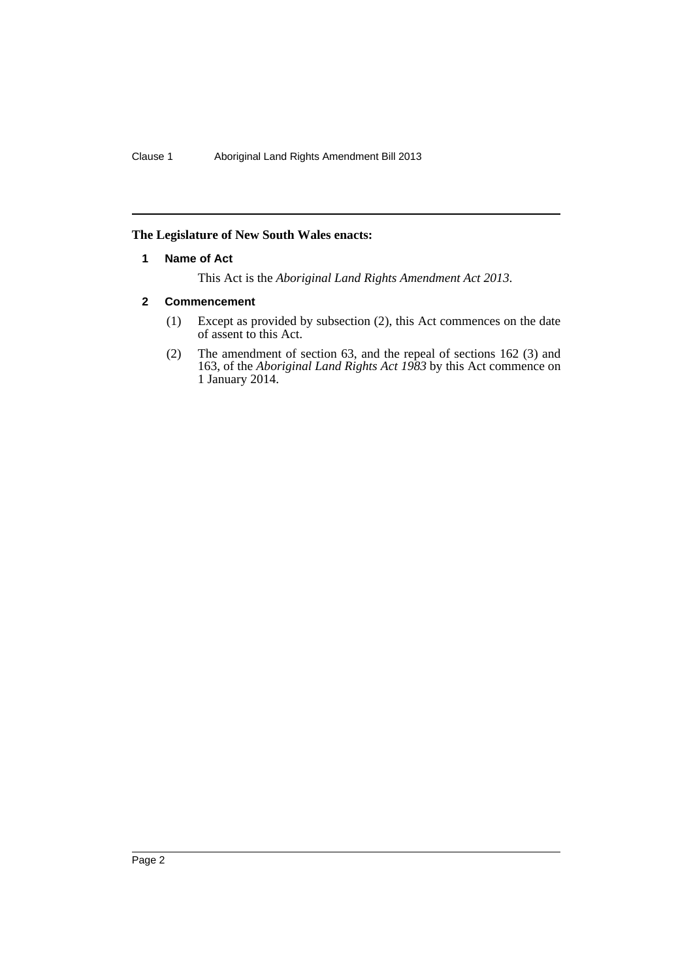## <span id="page-3-0"></span>**The Legislature of New South Wales enacts:**

## **1 Name of Act**

This Act is the *Aboriginal Land Rights Amendment Act 2013*.

## <span id="page-3-1"></span>**2 Commencement**

- (1) Except as provided by subsection (2), this Act commences on the date of assent to this Act.
- (2) The amendment of section 63, and the repeal of sections 162 (3) and 163, of the *Aboriginal Land Rights Act 1983* by this Act commence on 1 January 2014.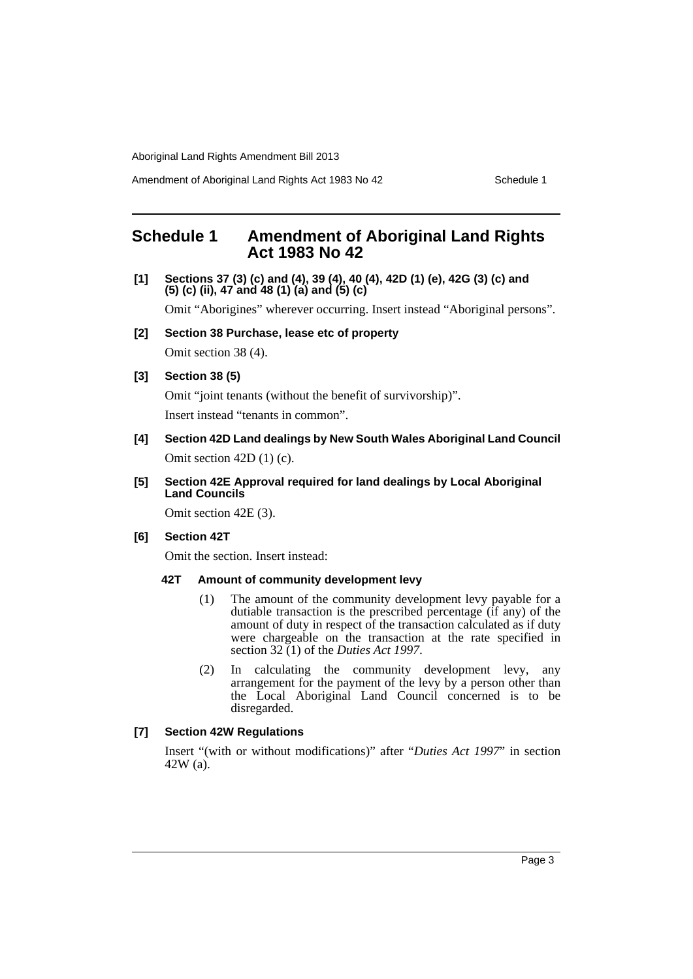Amendment of Aboriginal Land Rights Act 1983 No 42 Schedule 1

# <span id="page-4-0"></span>**Schedule 1 Amendment of Aboriginal Land Rights Act 1983 No 42**

**[1] Sections 37 (3) (c) and (4), 39 (4), 40 (4), 42D (1) (e), 42G (3) (c) and (5) (c) (ii), 47 and 48 (1) (a) and (5) (c)**

Omit "Aborigines" wherever occurring. Insert instead "Aboriginal persons".

**[2] Section 38 Purchase, lease etc of property**

Omit section 38 (4).

## **[3] Section 38 (5)**

Omit "joint tenants (without the benefit of survivorship)". Insert instead "tenants in common".

**[4] Section 42D Land dealings by New South Wales Aboriginal Land Council** Omit section 42D (1) (c).

## **[5] Section 42E Approval required for land dealings by Local Aboriginal Land Councils**

Omit section 42E (3).

## **[6] Section 42T**

Omit the section. Insert instead:

## **42T Amount of community development levy**

- (1) The amount of the community development levy payable for a dutiable transaction is the prescribed percentage (if any) of the amount of duty in respect of the transaction calculated as if duty were chargeable on the transaction at the rate specified in section 32 (1) of the *Duties Act 1997*.
- (2) In calculating the community development levy, any arrangement for the payment of the levy by a person other than the Local Aboriginal Land Council concerned is to be disregarded.

## **[7] Section 42W Regulations**

Insert "(with or without modifications)" after "*Duties Act 1997*" in section 42W (a).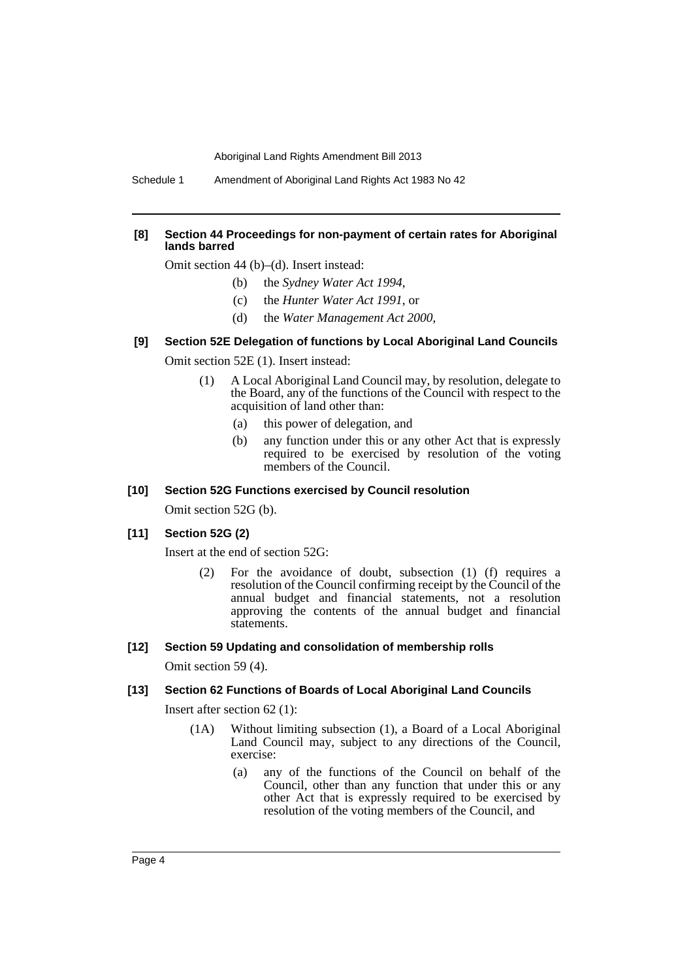Schedule 1 Amendment of Aboriginal Land Rights Act 1983 No 42

#### **[8] Section 44 Proceedings for non-payment of certain rates for Aboriginal lands barred**

Omit section 44 (b)–(d). Insert instead:

- (b) the *Sydney Water Act 1994*,
- (c) the *Hunter Water Act 1991*, or
- (d) the *Water Management Act 2000*,

#### **[9] Section 52E Delegation of functions by Local Aboriginal Land Councils**

Omit section 52E (1). Insert instead:

- (1) A Local Aboriginal Land Council may, by resolution, delegate to the Board, any of the functions of the Council with respect to the acquisition of land other than:
	- (a) this power of delegation, and
	- (b) any function under this or any other Act that is expressly required to be exercised by resolution of the voting members of the Council.

## **[10] Section 52G Functions exercised by Council resolution**

Omit section 52G (b).

## **[11] Section 52G (2)**

Insert at the end of section 52G:

(2) For the avoidance of doubt, subsection (1) (f) requires a resolution of the Council confirming receipt by the Council of the annual budget and financial statements, not a resolution approving the contents of the annual budget and financial statements.

#### **[12] Section 59 Updating and consolidation of membership rolls**

Omit section 59 (4).

#### **[13] Section 62 Functions of Boards of Local Aboriginal Land Councils**

Insert after section 62 (1):

- (1A) Without limiting subsection (1), a Board of a Local Aboriginal Land Council may, subject to any directions of the Council, exercise:
	- (a) any of the functions of the Council on behalf of the Council, other than any function that under this or any other Act that is expressly required to be exercised by resolution of the voting members of the Council, and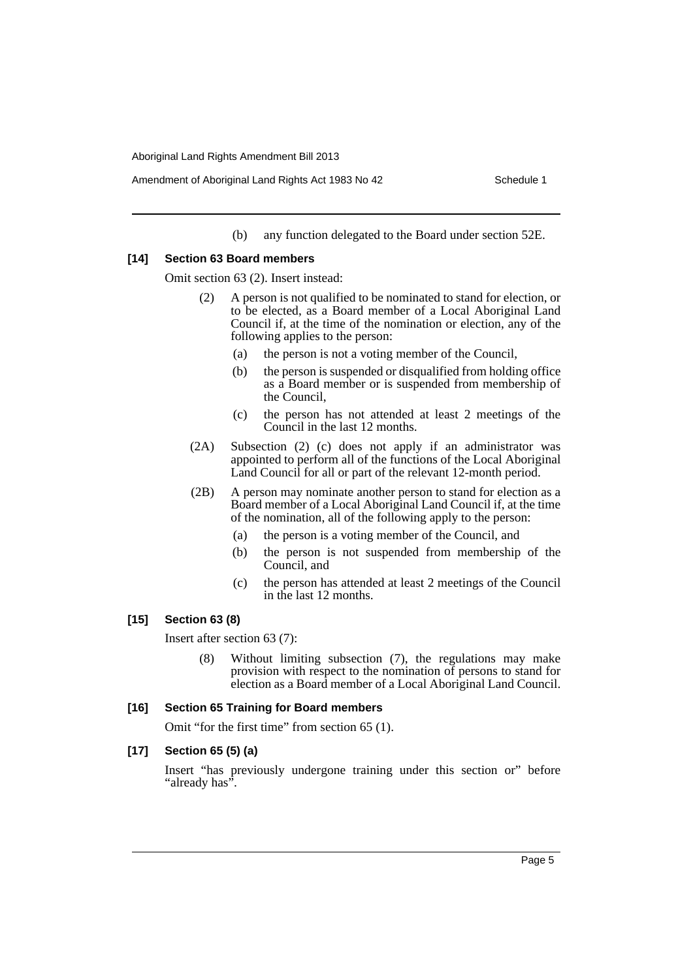(b) any function delegated to the Board under section 52E.

### **[14] Section 63 Board members**

Omit section 63 (2). Insert instead:

- (2) A person is not qualified to be nominated to stand for election, or to be elected, as a Board member of a Local Aboriginal Land Council if, at the time of the nomination or election, any of the following applies to the person:
	- (a) the person is not a voting member of the Council,
	- (b) the person is suspended or disqualified from holding office as a Board member or is suspended from membership of the Council,
	- (c) the person has not attended at least 2 meetings of the Council in the last 12 months.
- (2A) Subsection (2) (c) does not apply if an administrator was appointed to perform all of the functions of the Local Aboriginal Land Council for all or part of the relevant 12-month period.
- (2B) A person may nominate another person to stand for election as a Board member of a Local Aboriginal Land Council if, at the time of the nomination, all of the following apply to the person:
	- (a) the person is a voting member of the Council, and
	- (b) the person is not suspended from membership of the Council, and
	- (c) the person has attended at least 2 meetings of the Council in the last 12 months.

## **[15] Section 63 (8)**

Insert after section 63 (7):

Without limiting subsection (7), the regulations may make provision with respect to the nomination of persons to stand for election as a Board member of a Local Aboriginal Land Council.

### **[16] Section 65 Training for Board members**

Omit "for the first time" from section 65 (1).

## **[17] Section 65 (5) (a)**

Insert "has previously undergone training under this section or" before "already has".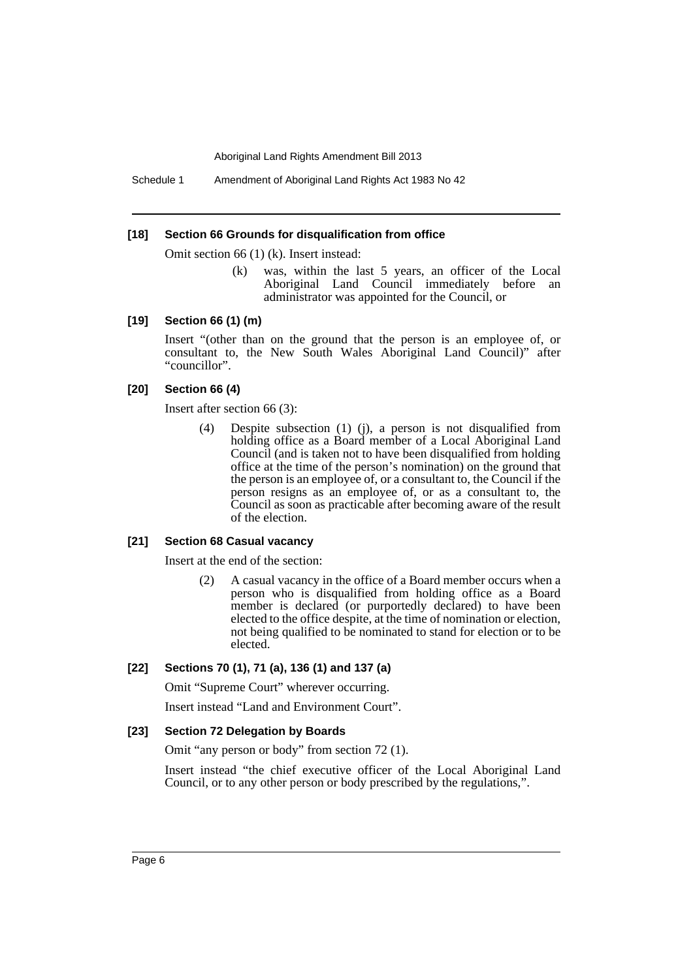Schedule 1 Amendment of Aboriginal Land Rights Act 1983 No 42

#### **[18] Section 66 Grounds for disqualification from office**

Omit section 66 (1) (k). Insert instead:

(k) was, within the last 5 years, an officer of the Local Aboriginal Land Council immediately before an administrator was appointed for the Council, or

#### **[19] Section 66 (1) (m)**

Insert "(other than on the ground that the person is an employee of, or consultant to, the New South Wales Aboriginal Land Council)" after "councillor".

#### **[20] Section 66 (4)**

Insert after section 66 (3):

(4) Despite subsection (1) (j), a person is not disqualified from holding office as a Board member of a Local Aboriginal Land Council (and is taken not to have been disqualified from holding office at the time of the person's nomination) on the ground that the person is an employee of, or a consultant to, the Council if the person resigns as an employee of, or as a consultant to, the Council as soon as practicable after becoming aware of the result of the election.

#### **[21] Section 68 Casual vacancy**

Insert at the end of the section:

(2) A casual vacancy in the office of a Board member occurs when a person who is disqualified from holding office as a Board member is declared (or purportedly declared) to have been elected to the office despite, at the time of nomination or election, not being qualified to be nominated to stand for election or to be elected.

## **[22] Sections 70 (1), 71 (a), 136 (1) and 137 (a)**

Omit "Supreme Court" wherever occurring.

Insert instead "Land and Environment Court".

#### **[23] Section 72 Delegation by Boards**

Omit "any person or body" from section 72 (1).

Insert instead "the chief executive officer of the Local Aboriginal Land Council, or to any other person or body prescribed by the regulations,".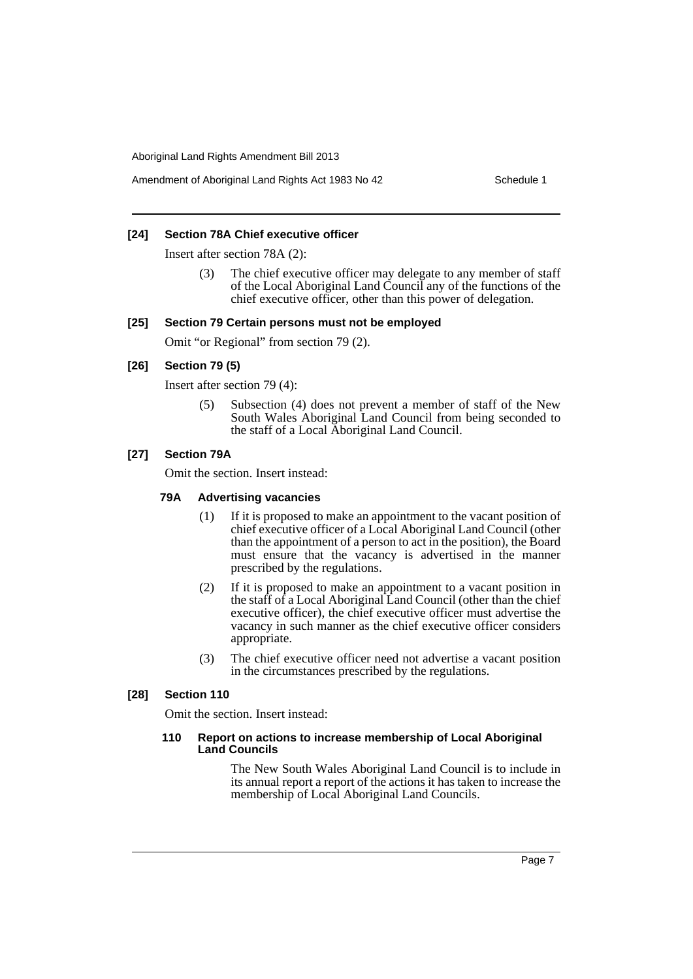Amendment of Aboriginal Land Rights Act 1983 No 42 Schedule 1

## **[24] Section 78A Chief executive officer**

Insert after section 78A (2):

The chief executive officer may delegate to any member of staff of the Local Aboriginal Land Council any of the functions of the chief executive officer, other than this power of delegation.

#### **[25] Section 79 Certain persons must not be employed**

Omit "or Regional" from section 79 (2).

## **[26] Section 79 (5)**

Insert after section 79 (4):

(5) Subsection (4) does not prevent a member of staff of the New South Wales Aboriginal Land Council from being seconded to the staff of a Local Aboriginal Land Council.

## **[27] Section 79A**

Omit the section. Insert instead:

#### **79A Advertising vacancies**

- (1) If it is proposed to make an appointment to the vacant position of chief executive officer of a Local Aboriginal Land Council (other than the appointment of a person to act in the position), the Board must ensure that the vacancy is advertised in the manner prescribed by the regulations.
- (2) If it is proposed to make an appointment to a vacant position in the staff of a Local Aboriginal Land Council (other than the chief executive officer), the chief executive officer must advertise the vacancy in such manner as the chief executive officer considers appropriate.
- (3) The chief executive officer need not advertise a vacant position in the circumstances prescribed by the regulations.

## **[28] Section 110**

Omit the section. Insert instead:

#### **110 Report on actions to increase membership of Local Aboriginal Land Councils**

The New South Wales Aboriginal Land Council is to include in its annual report a report of the actions it has taken to increase the membership of Local Aboriginal Land Councils.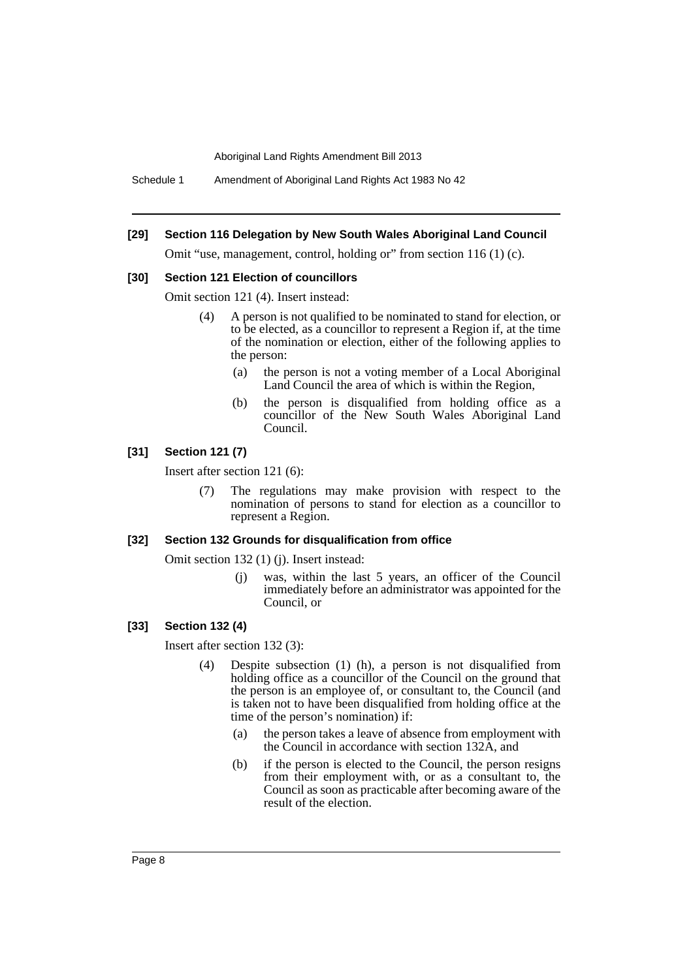Schedule 1 Amendment of Aboriginal Land Rights Act 1983 No 42

#### **[29] Section 116 Delegation by New South Wales Aboriginal Land Council**

Omit "use, management, control, holding or" from section 116 (1) (c).

#### **[30] Section 121 Election of councillors**

Omit section 121 (4). Insert instead:

- (4) A person is not qualified to be nominated to stand for election, or to be elected, as a councillor to represent a Region if, at the time of the nomination or election, either of the following applies to the person:
	- (a) the person is not a voting member of a Local Aboriginal Land Council the area of which is within the Region,
	- (b) the person is disqualified from holding office as a councillor of the New South Wales Aboriginal Land Council.

## **[31] Section 121 (7)**

Insert after section 121 (6):

(7) The regulations may make provision with respect to the nomination of persons to stand for election as a councillor to represent a Region.

## **[32] Section 132 Grounds for disqualification from office**

Omit section 132 (1) (j). Insert instead:

(j) was, within the last 5 years, an officer of the Council immediately before an administrator was appointed for the Council, or

#### **[33] Section 132 (4)**

Insert after section 132 (3):

- (4) Despite subsection (1) (h), a person is not disqualified from holding office as a councillor of the Council on the ground that the person is an employee of, or consultant to, the Council (and is taken not to have been disqualified from holding office at the time of the person's nomination) if:
	- (a) the person takes a leave of absence from employment with the Council in accordance with section 132A, and
	- (b) if the person is elected to the Council, the person resigns from their employment with, or as a consultant to, the Council as soon as practicable after becoming aware of the result of the election.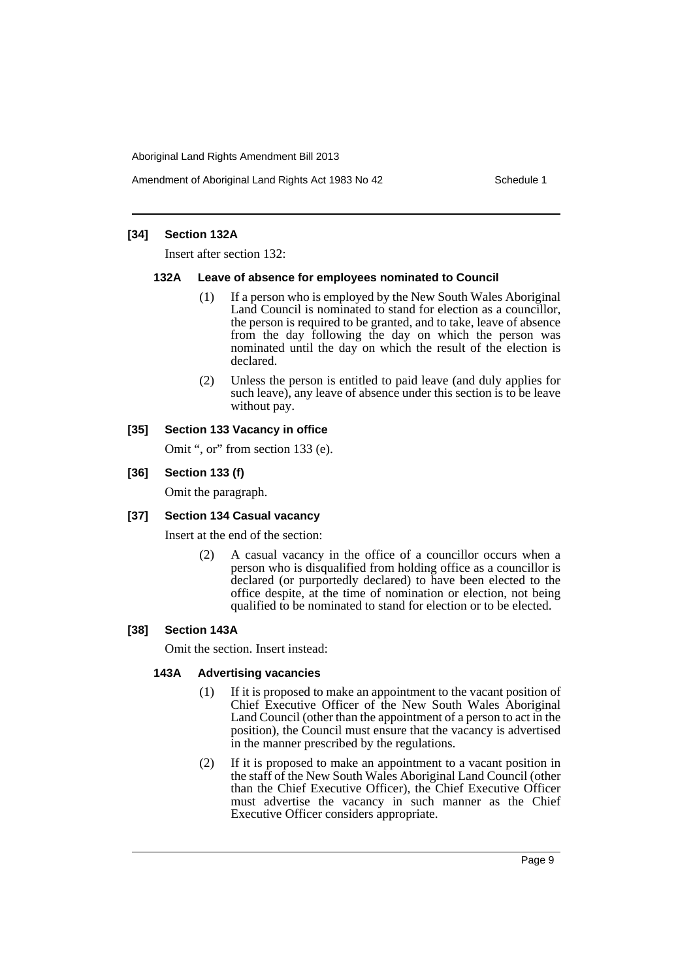Amendment of Aboriginal Land Rights Act 1983 No 42 Schedule 1

## **[34] Section 132A**

Insert after section 132:

### **132A Leave of absence for employees nominated to Council**

- (1) If a person who is employed by the New South Wales Aboriginal Land Council is nominated to stand for election as a councillor, the person is required to be granted, and to take, leave of absence from the day following the day on which the person was nominated until the day on which the result of the election is declared.
- (2) Unless the person is entitled to paid leave (and duly applies for such leave), any leave of absence under this section is to be leave without pay.

## **[35] Section 133 Vacancy in office**

Omit ", or" from section 133 (e).

## **[36] Section 133 (f)**

Omit the paragraph.

### **[37] Section 134 Casual vacancy**

Insert at the end of the section:

(2) A casual vacancy in the office of a councillor occurs when a person who is disqualified from holding office as a councillor is declared (or purportedly declared) to have been elected to the office despite, at the time of nomination or election, not being qualified to be nominated to stand for election or to be elected.

## **[38] Section 143A**

Omit the section. Insert instead:

### **143A Advertising vacancies**

- (1) If it is proposed to make an appointment to the vacant position of Chief Executive Officer of the New South Wales Aboriginal Land Council (other than the appointment of a person to act in the position), the Council must ensure that the vacancy is advertised in the manner prescribed by the regulations.
- (2) If it is proposed to make an appointment to a vacant position in the staff of the New South Wales Aboriginal Land Council (other than the Chief Executive Officer), the Chief Executive Officer must advertise the vacancy in such manner as the Chief Executive Officer considers appropriate.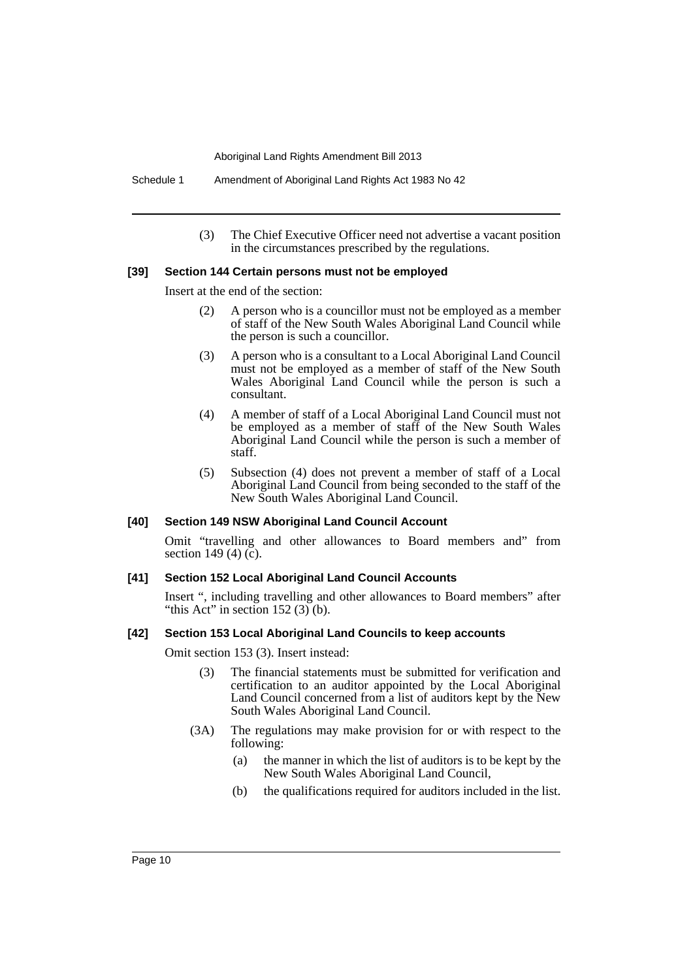Schedule 1 Amendment of Aboriginal Land Rights Act 1983 No 42

(3) The Chief Executive Officer need not advertise a vacant position in the circumstances prescribed by the regulations.

#### **[39] Section 144 Certain persons must not be employed**

Insert at the end of the section:

- (2) A person who is a councillor must not be employed as a member of staff of the New South Wales Aboriginal Land Council while the person is such a councillor.
- (3) A person who is a consultant to a Local Aboriginal Land Council must not be employed as a member of staff of the New South Wales Aboriginal Land Council while the person is such a consultant.
- (4) A member of staff of a Local Aboriginal Land Council must not be employed as a member of staff of the New South Wales Aboriginal Land Council while the person is such a member of staff.
- (5) Subsection (4) does not prevent a member of staff of a Local Aboriginal Land Council from being seconded to the staff of the New South Wales Aboriginal Land Council.

#### **[40] Section 149 NSW Aboriginal Land Council Account**

Omit "travelling and other allowances to Board members and" from section 149 (4) (c).

#### **[41] Section 152 Local Aboriginal Land Council Accounts**

Insert ", including travelling and other allowances to Board members" after "this Act" in section  $152(3)$  (b).

#### **[42] Section 153 Local Aboriginal Land Councils to keep accounts**

Omit section 153 (3). Insert instead:

- (3) The financial statements must be submitted for verification and certification to an auditor appointed by the Local Aboriginal Land Council concerned from a list of auditors kept by the New South Wales Aboriginal Land Council.
- (3A) The regulations may make provision for or with respect to the following:
	- (a) the manner in which the list of auditors is to be kept by the New South Wales Aboriginal Land Council,
	- (b) the qualifications required for auditors included in the list.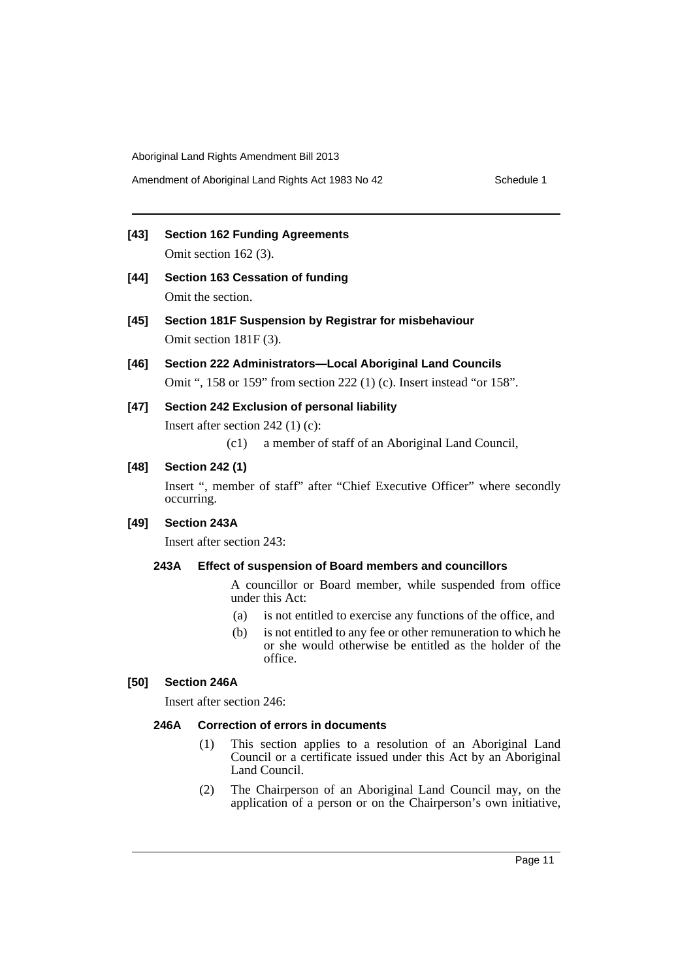**[43] Section 162 Funding Agreements** Omit section 162 (3).

- **[44] Section 163 Cessation of funding** Omit the section.
- **[45] Section 181F Suspension by Registrar for misbehaviour** Omit section 181F (3).
- **[46] Section 222 Administrators—Local Aboriginal Land Councils** Omit ", 158 or 159" from section 222 (1) (c). Insert instead "or 158".
- **[47] Section 242 Exclusion of personal liability**

Insert after section 242 (1) (c):

(c1) a member of staff of an Aboriginal Land Council,

## **[48] Section 242 (1)**

Insert ", member of staff" after "Chief Executive Officer" where secondly occurring.

## **[49] Section 243A**

Insert after section 243:

## **243A Effect of suspension of Board members and councillors**

A councillor or Board member, while suspended from office under this Act:

- (a) is not entitled to exercise any functions of the office, and
- (b) is not entitled to any fee or other remuneration to which he or she would otherwise be entitled as the holder of the office.

## **[50] Section 246A**

Insert after section 246:

## **246A Correction of errors in documents**

- (1) This section applies to a resolution of an Aboriginal Land Council or a certificate issued under this Act by an Aboriginal Land Council.
- (2) The Chairperson of an Aboriginal Land Council may, on the application of a person or on the Chairperson's own initiative,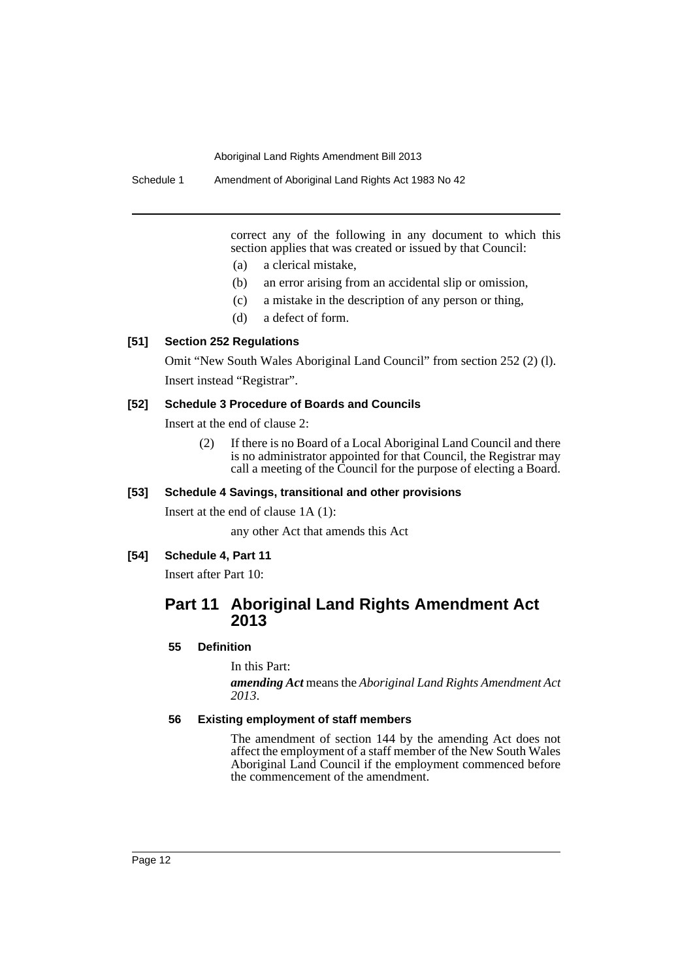Schedule 1 Amendment of Aboriginal Land Rights Act 1983 No 42

correct any of the following in any document to which this section applies that was created or issued by that Council:

- (a) a clerical mistake,
- (b) an error arising from an accidental slip or omission,
- (c) a mistake in the description of any person or thing,
- (d) a defect of form.

## **[51] Section 252 Regulations**

Omit "New South Wales Aboriginal Land Council" from section 252 (2) (l). Insert instead "Registrar".

#### **[52] Schedule 3 Procedure of Boards and Councils**

Insert at the end of clause 2:

(2) If there is no Board of a Local Aboriginal Land Council and there is no administrator appointed for that Council, the Registrar may call a meeting of the Council for the purpose of electing a Board.

## **[53] Schedule 4 Savings, transitional and other provisions**

Insert at the end of clause 1A (1):

any other Act that amends this Act

## **[54] Schedule 4, Part 11**

Insert after Part 10:

## **Part 11 Aboriginal Land Rights Amendment Act 2013**

## **55 Definition**

In this Part:

*amending Act* means the *Aboriginal Land Rights Amendment Act 2013*.

## **56 Existing employment of staff members**

The amendment of section 144 by the amending Act does not affect the employment of a staff member of the New South Wales Aboriginal Land Council if the employment commenced before the commencement of the amendment.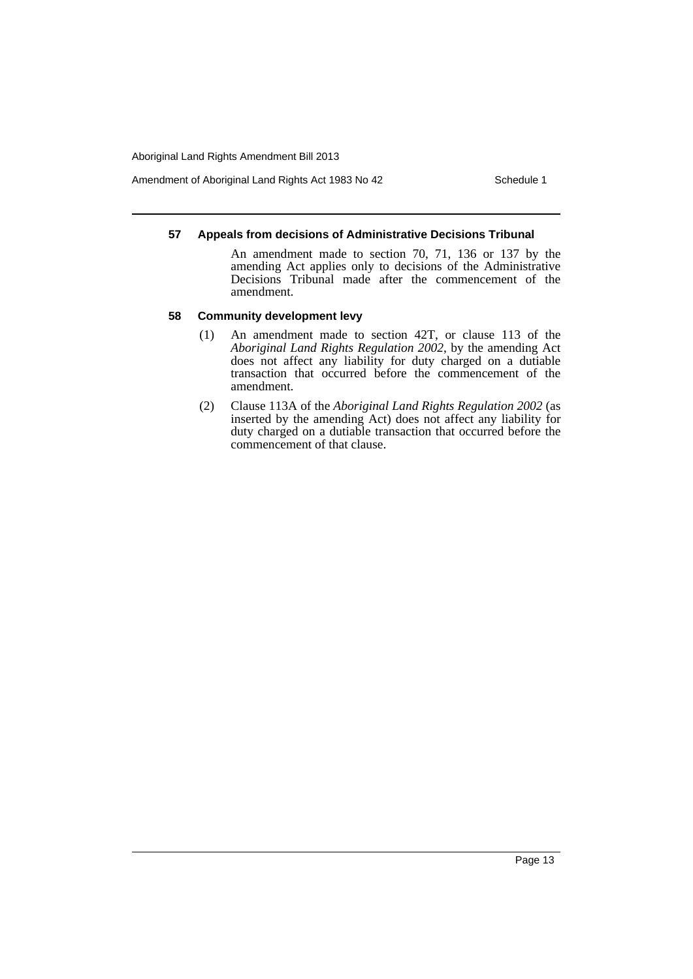Amendment of Aboriginal Land Rights Act 1983 No 42 Schedule 1

## **57 Appeals from decisions of Administrative Decisions Tribunal**

An amendment made to section 70, 71, 136 or 137 by the amending Act applies only to decisions of the Administrative Decisions Tribunal made after the commencement of the amendment.

### **58 Community development levy**

- (1) An amendment made to section 42T, or clause 113 of the *Aboriginal Land Rights Regulation 2002*, by the amending Act does not affect any liability for duty charged on a dutiable transaction that occurred before the commencement of the amendment.
- (2) Clause 113A of the *Aboriginal Land Rights Regulation 2002* (as inserted by the amending Act) does not affect any liability for duty charged on a dutiable transaction that occurred before the commencement of that clause.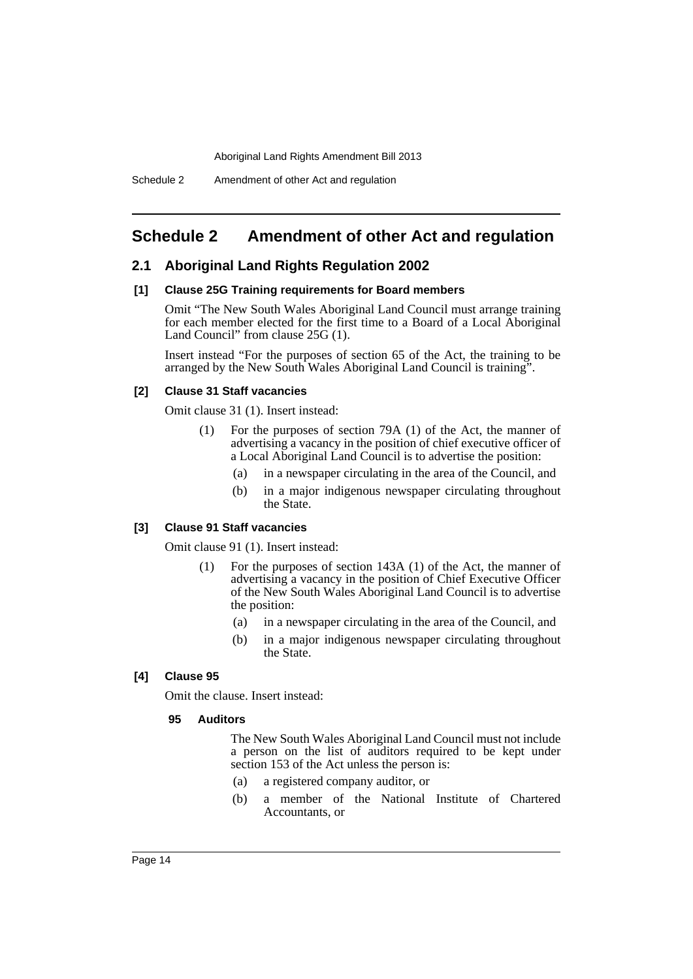## <span id="page-15-0"></span>**Schedule 2 Amendment of other Act and regulation**

## **2.1 Aboriginal Land Rights Regulation 2002**

#### **[1] Clause 25G Training requirements for Board members**

Omit "The New South Wales Aboriginal Land Council must arrange training for each member elected for the first time to a Board of a Local Aboriginal Land Council" from clause 25G (1).

Insert instead "For the purposes of section 65 of the Act, the training to be arranged by the New South Wales Aboriginal Land Council is training".

## **[2] Clause 31 Staff vacancies**

Omit clause 31 (1). Insert instead:

- (1) For the purposes of section 79A (1) of the Act, the manner of advertising a vacancy in the position of chief executive officer of a Local Aboriginal Land Council is to advertise the position:
	- (a) in a newspaper circulating in the area of the Council, and
	- (b) in a major indigenous newspaper circulating throughout the State.

## **[3] Clause 91 Staff vacancies**

Omit clause 91 (1). Insert instead:

- (1) For the purposes of section 143A (1) of the Act, the manner of advertising a vacancy in the position of Chief Executive Officer of the New South Wales Aboriginal Land Council is to advertise the position:
	- (a) in a newspaper circulating in the area of the Council, and
	- (b) in a major indigenous newspaper circulating throughout the State.

## **[4] Clause 95**

Omit the clause. Insert instead:

### **95 Auditors**

The New South Wales Aboriginal Land Council must not include a person on the list of auditors required to be kept under section 153 of the Act unless the person is:

- (a) a registered company auditor, or
- (b) a member of the National Institute of Chartered Accountants, or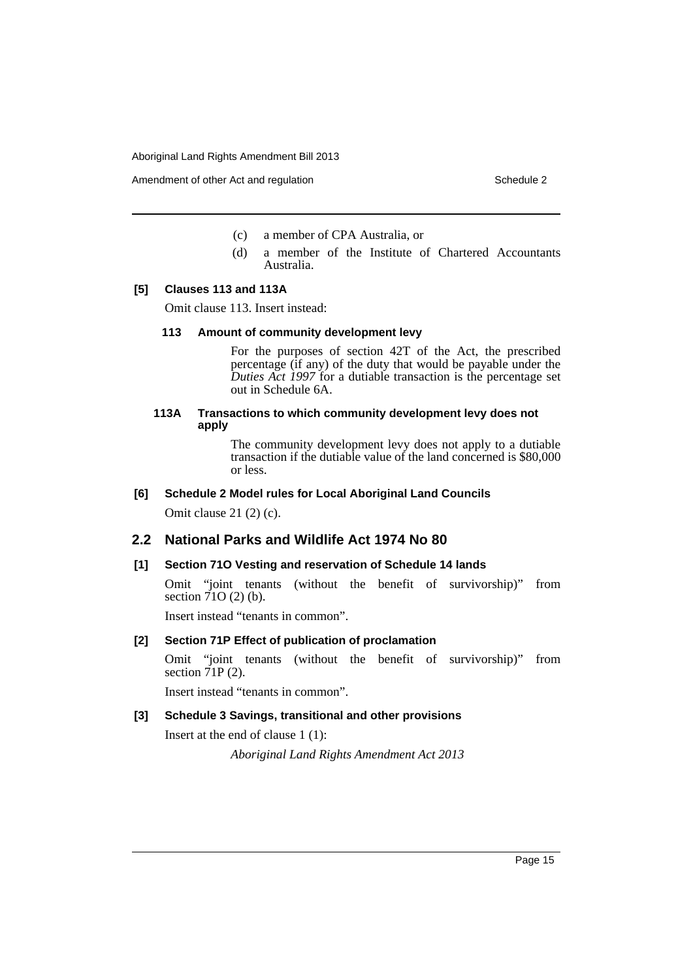Amendment of other Act and regulation Schedule 2

- (c) a member of CPA Australia, or
- (d) a member of the Institute of Chartered Accountants Australia.

### **[5] Clauses 113 and 113A**

Omit clause 113. Insert instead:

### **113 Amount of community development levy**

For the purposes of section 42T of the Act, the prescribed percentage (if any) of the duty that would be payable under the *Duties Act 1997* for a dutiable transaction is the percentage set out in Schedule 6A.

## **113A Transactions to which community development levy does not apply**

The community development levy does not apply to a dutiable transaction if the dutiable value of the land concerned is \$80,000 or less.

## **[6] Schedule 2 Model rules for Local Aboriginal Land Councils**

Omit clause 21 (2) (c).

## **2.2 National Parks and Wildlife Act 1974 No 80**

### **[1] Section 71O Vesting and reservation of Schedule 14 lands**

Omit "joint tenants (without the benefit of survivorship)" from section  $71O(2)$  (b).

Insert instead "tenants in common".

## **[2] Section 71P Effect of publication of proclamation**

Omit "joint tenants (without the benefit of survivorship)" from section  $\tilde{7}$  IP (2).

Insert instead "tenants in common".

## **[3] Schedule 3 Savings, transitional and other provisions**

Insert at the end of clause 1 (1):

*Aboriginal Land Rights Amendment Act 2013*